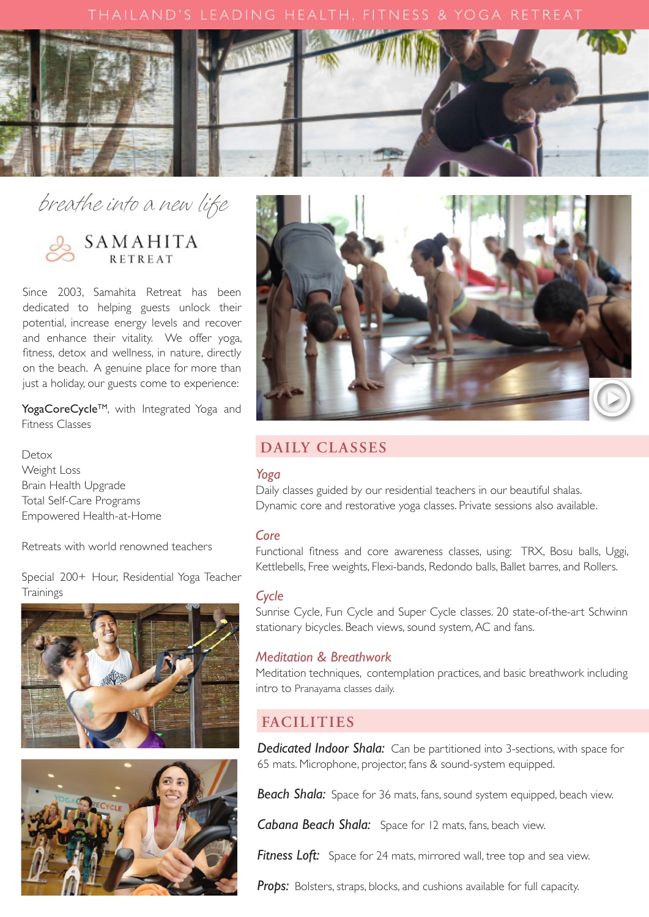

# breathe into a new life



Since 2003, Samahita Retreat has been dedicated to helping guests unlock their potential, increase energy levels and recover and enhance their vitality. We offer yog[a,](https://youtu.be/50zwgQRqoTk) fitness, detox and wellness, in nature, directly on the beach. A genuine place for more than just a holiday, our guests come to experience:

YogaCoreCycle™, with Integrated Yoga and Fitness Classes

Detox Weight Loss Brain Health Upgrade Total Self-Care Programs Empowered Health-at-Home

Retreats with world renowned teachers

Special 200+ Hour, Residential Yoga Teacher **Trainings** 







# **DAILY CLASSES**

#### *Yoga*

Daily classes guided by our residential teachers in our beautiful shalas. Dynamic core and restorative yoga classes. Private sessions also available.

#### *Core*

Functional fitness and core awareness classes, using: TRX, Bosu balls, Uggi, Kettlebells, Free weights, Flexi-bands, Redondo balls, Ballet barres, and Rollers.

#### *Cycle*

Sunrise Cycle, Fun Cycle and Super Cycle classes. 20 state-of-the-art Schwinn stationary bicycles. Beach views, sound system,AC and fans.

#### *Meditation & Breathwork*

Meditation techniques, contemplation practices, and basic breathwork including intro to Pranayama classes daily.

# **FACILITIES**

**Dedicated Indoor Shala:** Can be partitioned into 3-sections, with space for 65 mats. Microphone, projector, fans & sound-system equipped.

*Beach Shala:* Space for 36 mats, fans, sound system equipped, beach view.

*Cabana Beach Shala:* Space for 12 mats, fans, beach view.

**Fitness Loft:** Space for 24 mats, mirrored wall, tree top and sea view.

Props: Bolsters, straps, blocks, and cushions available for full capacity.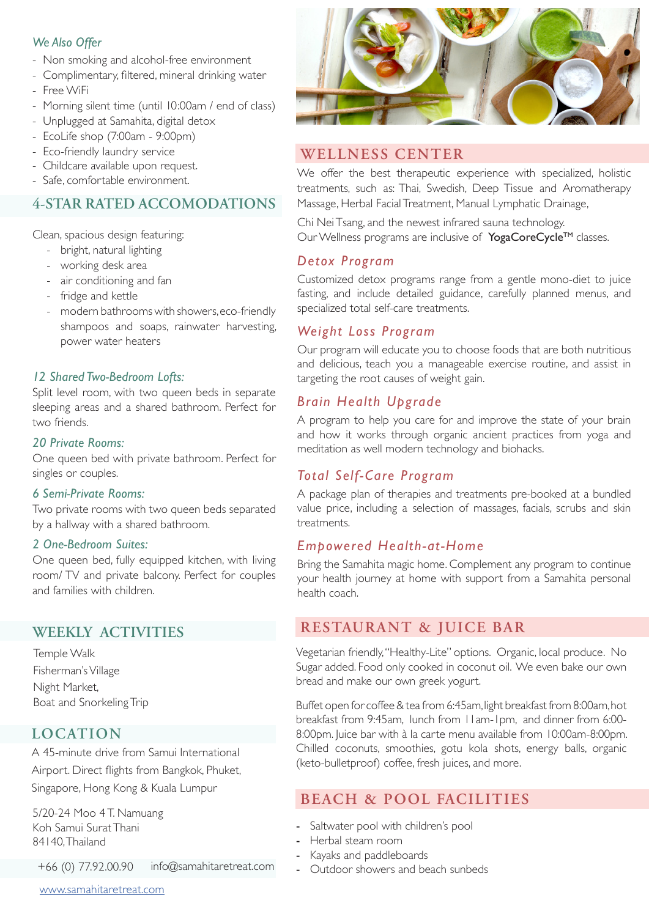#### *We Also Offer*

- Non smoking and alcohol-free environment
- Complimentary, filtered, mineral drinking water
- Free WiFi
- Morning silent time (until 10:00am / end of class)
- Unplugged at Samahita, digital detox
- EcoLife shop (7:00am 9:00pm)
- Eco-friendly laundry service
- Childcare available upon request.
- Safe, comfor table environment.

# **4-STAR RATED ACCOMODATIONS**

Clean, spacious design featuring:

- bright, natural lighting
- working desk area
- air conditioning and fan
- fridge and kettle
- modern bathrooms with showers, eco-friendly shampoos and soaps, rainwater harvesting, power water heaters

# *12 Shared Two-Bedroom Lofts:*

Split level room, with two queen beds in separate sleeping areas and a shared bathroom. Perfect for two friends.

#### *20 Private Rooms:*

One queen bed with private bathroom. Perfect for singles or couples.

#### *6 Semi-Private Rooms:*

Two private rooms with two queen beds separated by a hallway with a shared bathroom.

#### *2 One-Bedroom Suites:*

One queen bed, fully equipped kitchen, with living room/ TV and private balcony. Perfect for couples and families with children.

Temple Walk Fisherman's Village Night Market, Boat and Snorkeling Trip

# **LOCATION**

A 45-minute drive from Samui International Airport. Direct flights from Bangkok, Phuket, Singapore, Hong Kong & Kuala Lumpur

5/20-24 Moo 4 T. Namuang Koh Samui Surat Thani 84140,Thailand

+66 (0) 77.92.00.90 [info@samahitaretreat.com](http://info@samahitaretreat.com)



# **WELLNESS CENTER**

We offer the best therapeutic experience with specialized, holistic treatments, such as: Thai, Swedish, Deep Tissue and Aromatherapy Massage, Herbal FacialTreatment, Manual Lymphatic Drainage,

Chi NeiTsang, and the newest infrared sauna technology. Our Wellness programs are inclusive of YogaCoreCycle™ classes.

# *Detox Program*

Customized detox programs range from a gentle mono-diet to juice fasting, and include detailed guidance, carefully planned menus, and specialized total self-care treatments.

#### *Weight Loss Program*

Our program will educate you to choose foods that are both nutritious and delicious, teach you a manageable exercise routine, and assist in targeting the root causes of weight gain.

# *Brain Health Upgrade*

A program to help you care for and improve the state of your brain and how it works through organic ancient practices from yoga and meditation as well modern technology and biohacks.

# *Total Self-Care Program*

A package plan of therapies and treatments pre-booked at a bundled value price, including a selection of massages, facials, scrubs and skin treatments.

# *Empowered Health-at-Home*

Bring the Samahita magic home. Complement any program to continue your health journey at home with support from a Samahita personal health coach.

# **WEEKLY ACTIVITIES RESTAURANT & JUICE BAR**

Vegetarian friendly,"Healthy-Lite" options. Organic, local produce. No Sugar added. Food only cooked in coconut oil. We even bake our own bread and make our own greek yogurt.

Buffet open for coffee & tea from 6:45am, light breakfast from 8:00am, hot breakfast from 9:45am, lunch from 11am-1pm, and dinner from 6:00- 8:00pm. Juice bar with à la carte menu available from 10:00am-8:00pm. Chilled coconuts, smoothies, gotu kola shots, energy balls, organic (keto-bulletproof) coffee, fresh juices, and more.

# **BEACH & POOL FACILITIES**

- Saltwater pool with children's pool
- Herbal steam room
- Kayaks and paddleboards
- Outdoor showers and beach sunbeds

[www.samahitaretreat.com](http://www.samahitaretreat.com)